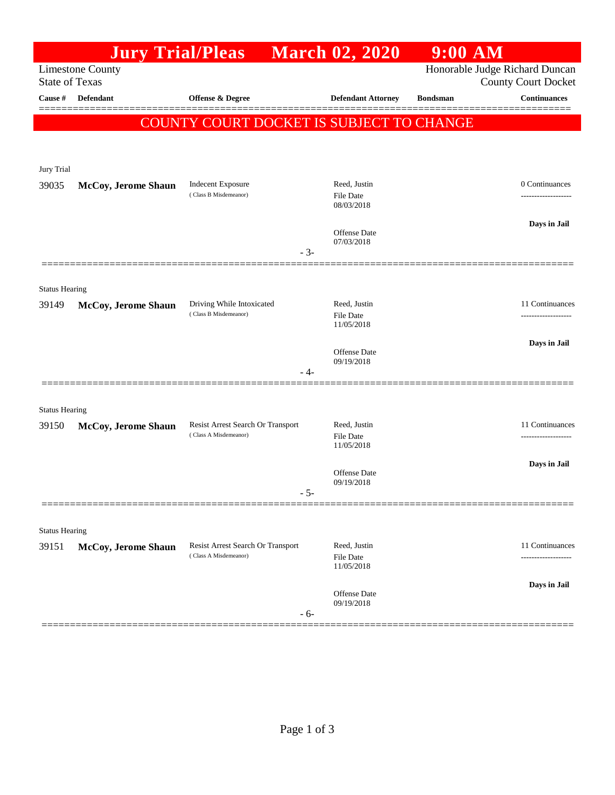|                                | <b>Jury Trial/Pleas</b> |                                                            | <b>March 02, 2020</b> |                                | $9:00$ AM       |                                                              |
|--------------------------------|-------------------------|------------------------------------------------------------|-----------------------|--------------------------------|-----------------|--------------------------------------------------------------|
| <b>State of Texas</b>          | <b>Limestone County</b> |                                                            |                       |                                |                 | Honorable Judge Richard Duncan<br><b>County Court Docket</b> |
| Cause #                        | <b>Defendant</b>        | Offense & Degree                                           |                       | <b>Defendant Attorney</b>      | <b>Bondsman</b> | <b>Continuances</b>                                          |
|                                |                         | COUNTY COURT DOCKET IS SUBJECT TO CHANGE                   |                       |                                |                 |                                                              |
|                                |                         |                                                            |                       |                                |                 |                                                              |
| Jury Trial                     |                         |                                                            |                       |                                |                 |                                                              |
| 39035                          | McCoy, Jerome Shaun     | <b>Indecent Exposure</b>                                   |                       | Reed, Justin                   |                 | 0 Continuances                                               |
|                                |                         | (Class B Misdemeanor)                                      |                       | File Date<br>08/03/2018        |                 |                                                              |
|                                |                         |                                                            |                       |                                |                 |                                                              |
|                                |                         |                                                            |                       | Offense Date                   |                 | Days in Jail                                                 |
|                                |                         |                                                            | $-3-$                 | 07/03/2018                     |                 |                                                              |
|                                |                         |                                                            |                       |                                |                 |                                                              |
| <b>Status Hearing</b>          |                         |                                                            |                       |                                |                 |                                                              |
| 39149                          | McCoy, Jerome Shaun     | Driving While Intoxicated<br>(Class B Misdemeanor)         |                       | Reed, Justin<br>File Date      |                 | 11 Continuances<br>.                                         |
|                                |                         |                                                            |                       | 11/05/2018                     |                 |                                                              |
|                                |                         |                                                            |                       | <b>Offense</b> Date            |                 | Days in Jail                                                 |
|                                |                         |                                                            |                       | 09/19/2018                     |                 |                                                              |
|                                |                         |                                                            | - 4-                  |                                |                 |                                                              |
|                                |                         |                                                            |                       |                                |                 |                                                              |
| <b>Status Hearing</b><br>39150 | McCoy, Jerome Shaun     | Resist Arrest Search Or Transport                          |                       | Reed, Justin                   |                 | 11 Continuances                                              |
|                                |                         | (Class A Misdemeanor)                                      |                       | File Date<br>11/05/2018        |                 | .                                                            |
|                                |                         |                                                            |                       |                                |                 | Days in Jail                                                 |
|                                |                         |                                                            |                       | Offense Date<br>09/19/2018     |                 |                                                              |
|                                |                         |                                                            | - 5-                  |                                |                 |                                                              |
|                                |                         |                                                            |                       |                                |                 |                                                              |
| <b>Status Hearing</b>          |                         |                                                            |                       |                                |                 |                                                              |
| 39151                          | McCoy, Jerome Shaun     | Resist Arrest Search Or Transport<br>(Class A Misdemeanor) |                       | Reed, Justin                   |                 | 11 Continuances                                              |
|                                |                         |                                                            |                       | <b>File Date</b><br>11/05/2018 |                 |                                                              |
|                                |                         |                                                            |                       |                                |                 | Days in Jail                                                 |
|                                |                         |                                                            |                       | Offense Date<br>09/19/2018     |                 |                                                              |
|                                |                         |                                                            | $-6-$                 |                                |                 |                                                              |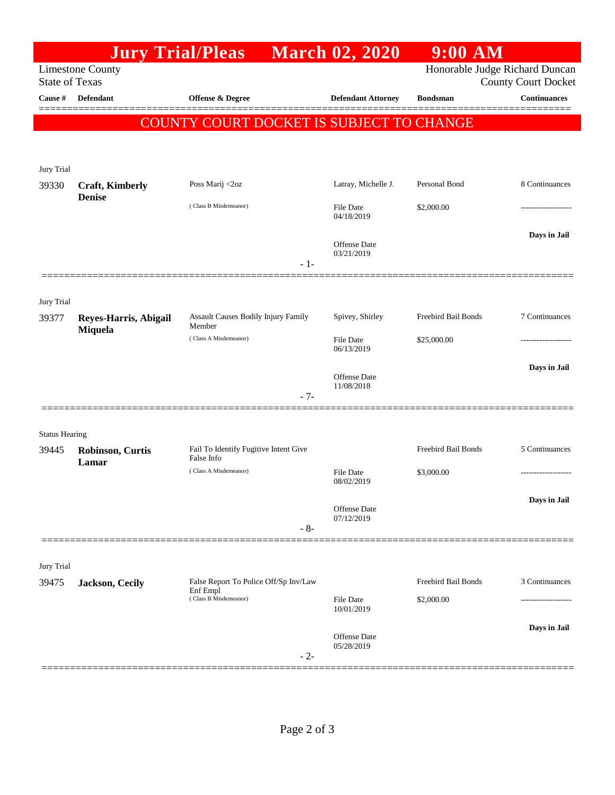|                                                                                    | <b>Jury Trial/Pleas</b>          |                                            | <b>March 02, 2020</b>             | <b>9:00 AM</b>      |                                                   |  |  |
|------------------------------------------------------------------------------------|----------------------------------|--------------------------------------------|-----------------------------------|---------------------|---------------------------------------------------|--|--|
| Honorable Judge Richard Duncan<br><b>Limestone County</b><br><b>State of Texas</b> |                                  |                                            |                                   |                     |                                                   |  |  |
| Cause #                                                                            | <b>Defendant</b>                 | Offense & Degree                           | <b>Defendant Attorney</b>         | <b>Bondsman</b>     | <b>County Court Docket</b><br><b>Continuances</b> |  |  |
|                                                                                    |                                  |                                            |                                   |                     |                                                   |  |  |
|                                                                                    |                                  | COUNTY COURT DOCKET IS SUBJECT TO CHANGE   |                                   |                     |                                                   |  |  |
|                                                                                    |                                  |                                            |                                   |                     |                                                   |  |  |
| Jury Trial                                                                         |                                  |                                            |                                   |                     |                                                   |  |  |
| 39330                                                                              | <b>Craft, Kimberly</b>           | Poss Marij <2oz                            | Latray, Michelle J.               | Personal Bond       | 8 Continuances                                    |  |  |
|                                                                                    | <b>Denise</b>                    | (Class B Misdemeanor)                      | <b>File Date</b><br>04/18/2019    | \$2,000.00          |                                                   |  |  |
|                                                                                    |                                  |                                            |                                   |                     | Days in Jail                                      |  |  |
|                                                                                    |                                  |                                            | <b>Offense Date</b><br>03/21/2019 |                     |                                                   |  |  |
|                                                                                    |                                  | $-1-$                                      |                                   |                     |                                                   |  |  |
|                                                                                    |                                  |                                            |                                   |                     |                                                   |  |  |
| Jury Trial                                                                         |                                  | <b>Assault Causes Bodily Injury Family</b> | Spivey, Shirley                   | Freebird Bail Bonds | 7 Continuances                                    |  |  |
| 39377                                                                              | Reyes-Harris, Abigail<br>Miquela | Member                                     |                                   |                     |                                                   |  |  |
|                                                                                    |                                  | (Class A Misdemeanor)                      | <b>File Date</b><br>06/13/2019    | \$25,000.00         |                                                   |  |  |
|                                                                                    |                                  |                                            |                                   |                     | Days in Jail                                      |  |  |
|                                                                                    |                                  |                                            | Offense Date<br>11/08/2018        |                     |                                                   |  |  |
|                                                                                    |                                  | $-7-$                                      |                                   |                     |                                                   |  |  |
|                                                                                    |                                  |                                            |                                   |                     |                                                   |  |  |
| <b>Status Hearing</b><br>39445                                                     | <b>Robinson, Curtis</b>          | Fail To Identify Fugitive Intent Give      |                                   | Freebird Bail Bonds | 5 Continuances                                    |  |  |
|                                                                                    | Lamar                            | False Info<br>(Class A Misdemeanor)        | <b>File Date</b>                  |                     |                                                   |  |  |
|                                                                                    |                                  |                                            | 08/02/2019                        | \$3,000.00          | .                                                 |  |  |
|                                                                                    |                                  |                                            | <b>Offense</b> Date               |                     | Days in Jail                                      |  |  |
|                                                                                    |                                  | $-8-$                                      | 07/12/2019                        |                     |                                                   |  |  |
|                                                                                    |                                  |                                            |                                   |                     |                                                   |  |  |
| Jury Trial                                                                         |                                  |                                            |                                   |                     |                                                   |  |  |
| 39475                                                                              | Jackson, Cecily                  | False Report To Police Off/Sp Inv/Law      |                                   | Freebird Bail Bonds | 3 Continuances                                    |  |  |
|                                                                                    |                                  | Enf Empl<br>(Class B Misdemeanor)          | <b>File Date</b>                  | \$2,000.00          |                                                   |  |  |
|                                                                                    |                                  |                                            | 10/01/2019                        |                     |                                                   |  |  |
|                                                                                    |                                  |                                            | <b>Offense</b> Date<br>05/28/2019 |                     | Days in Jail                                      |  |  |
|                                                                                    |                                  | $-2-$                                      |                                   |                     |                                                   |  |  |
|                                                                                    |                                  |                                            |                                   |                     |                                                   |  |  |